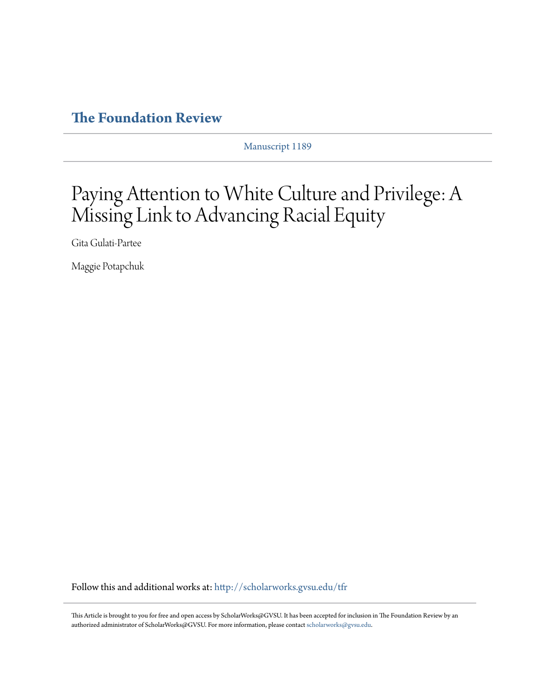# **[The Foundation Review](http://scholarworks.gvsu.edu/tfr?utm_source=scholarworks.gvsu.edu%2Ftfr%2Fvol6%2Fiss1%2F4&utm_medium=PDF&utm_campaign=PDFCoverPages)**

Manuscript 1189

# Paying Attention to White Culture and Privilege: A Missing Link to Advancing Racial Equity

Gita Gulati-Partee

Maggie Potapchuk

Follow this and additional works at: [http://scholarworks.gvsu.edu/tfr](http://scholarworks.gvsu.edu/tfr?utm_source=scholarworks.gvsu.edu%2Ftfr%2Fvol6%2Fiss1%2F4&utm_medium=PDF&utm_campaign=PDFCoverPages)

This Article is brought to you for free and open access by ScholarWorks@GVSU. It has been accepted for inclusion in The Foundation Review by an authorized administrator of ScholarWorks@GVSU. For more information, please contact [scholarworks@gvsu.edu.](mailto:scholarworks@gvsu.edu)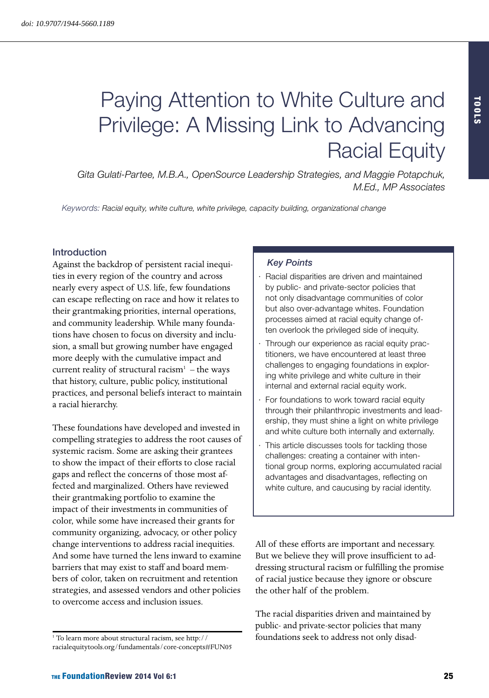# Paying Attention to White Culture and Privilege: A Missing Link to Advancing Racial Equity

*Gita Gulati-Partee, M.B.A., OpenSource Leadership Strategies, and Maggie Potapchuk, [M.Ed.](M.Ed), MP Associates*

*Keywords: Racial equity, white culture, white privilege, capacity building, organizational change*

#### Introduction

Against the backdrop of persistent racial inequities in every region of the country and across nearly every aspect of U.S. life, few foundations can escape reflecting on race and how it relates to their grantmaking priorities, internal operations, and community leadership. While many foundations have chosen to focus on diversity and inclusion, a small but growing number have engaged more deeply with the cumulative impact and current reality of structural racism $1 -$ the ways that history, culture, public policy, institutional practices, and personal beliefs interact to maintain a racial hierarchy.

These foundations have developed and invested in compelling strategies to address the root causes of systemic racism. Some are asking their grantees to show the impact of their efforts to close racial gaps and reflect the concerns of those most affected and marginalized. Others have reviewed their grantmaking portfolio to examine the impact of their investments in communities of color, while some have increased their grants for community organizing, advocacy, or other policy change interventions to address racial inequities. And some have turned the lens inward to examine barriers that may exist to staff and board members of color, taken on recruitment and retention strategies, and assessed vendors and other policies to overcome access and inclusion issues.

#### *Key Points*

- Racial disparities are driven and maintained by public- and private-sector policies that not only disadvantage communities of color but also over-advantage whites. Foundation processes aimed at racial equity change often overlook the privileged side of inequity.
- Through our experience as racial equity practitioners, we have encountered at least three challenges to engaging foundations in exploring white privilege and white culture in their internal and external racial equity work.
- For foundations to work toward racial equity through their philanthropic investments and leadership, they must shine a light on white privilege and white culture both internally and externally.
- This article discusses tools for tackling those challenges: creating a container with intentional group norms, exploring accumulated racial advantages and disadvantages, reflecting on white culture, and caucusing by racial identity.

All of these efforts are important and necessary. But we believe they will prove insufficient to addressing structural racism or fulfilling the promise of racial justice because they ignore or obscure the other half of the problem.

The racial disparities driven and maintained by public- and private-sector policies that many foundations seek to address not only disad-

<sup>1</sup> To learn more about structural racism, see [http://](http://racialequitytools.org/fundamentals/core-concepts#FUN05) [racialequitytools.org/fundamentals/core](http://racialequitytools.org/fundamentals/core-concepts#FUN05)-concepts#FUN05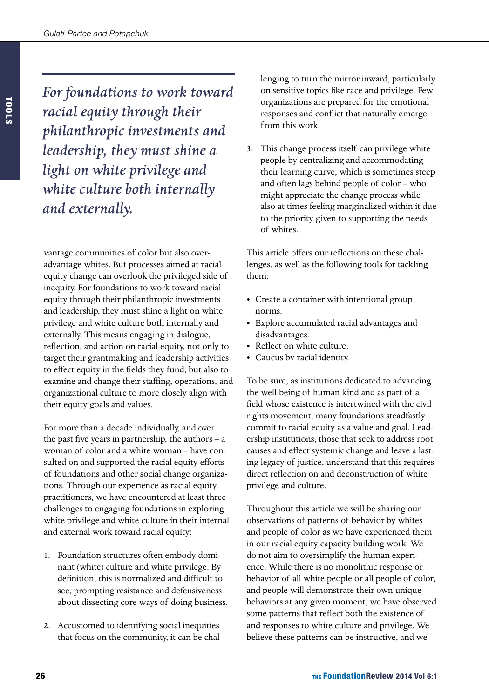*For foundations to work toward racial equity through their philanthropic investments and leadership, they must shine a light on white privilege and white culture both internally and externally.*

vantage communities of color but also overadvantage whites. But processes aimed at racial equity change can overlook the privileged side of inequity. For foundations to work toward racial equity through their philanthropic investments and leadership, they must shine a light on white privilege and white culture both internally and externally. This means engaging in dialogue, reflection, and action on racial equity, not only to target their grantmaking and leadership activities to effect equity in the fields they fund, but also to examine and change their staffing, operations, and organizational culture to more closely align with their equity goals and values.

For more than a decade individually, and over the past five years in partnership, the authors – a woman of color and a white woman – have consulted on and supported the racial equity efforts of foundations and other social change organizations. Through our experience as racial equity practitioners, we have encountered at least three challenges to engaging foundations in exploring white privilege and white culture in their internal and external work toward racial equity:

- 1. Foundation structures often embody dominant (white) culture and white privilege. By definition, this is normalized and difficult to see, prompting resistance and defensiveness about dissecting core ways of doing business.
- 2. Accustomed to identifying social inequities that focus on the community, it can be chal-

lenging to turn the mirror inward, particularly on sensitive topics like race and privilege. Few organizations are prepared for the emotional responses and conflict that naturally emerge from this work.

3. This change process itself can privilege white people by centralizing and accommodating their learning curve, which is sometimes steep and often lags behind people of color – who might appreciate the change process while also at times feeling marginalized within it due to the priority given to supporting the needs of whites.

This article offers our reflections on these challenges, as well as the following tools for tackling them:

- Create a container with intentional group norms.
- • Explore accumulated racial advantages and disadvantages.
- Reflect on white culture.
- • Caucus by racial identity.

To be sure, as institutions dedicated to advancing the well-being of human kind and as part of a field whose existence is intertwined with the civil rights movement, many foundations steadfastly commit to racial equity as a value and goal. Leadership institutions, those that seek to address root causes and effect systemic change and leave a lasting legacy of justice, understand that this requires direct reflection on and deconstruction of white privilege and culture.

Throughout this article we will be sharing our observations of patterns of behavior by whites and people of color as we have experienced them in our racial equity capacity building work. We do not aim to oversimplify the human experience. While there is no monolithic response or behavior of all white people or all people of color, and people will demonstrate their own unique behaviors at any given moment, we have observed some patterns that reflect both the existence of and responses to white culture and privilege. We believe these patterns can be instructive, and we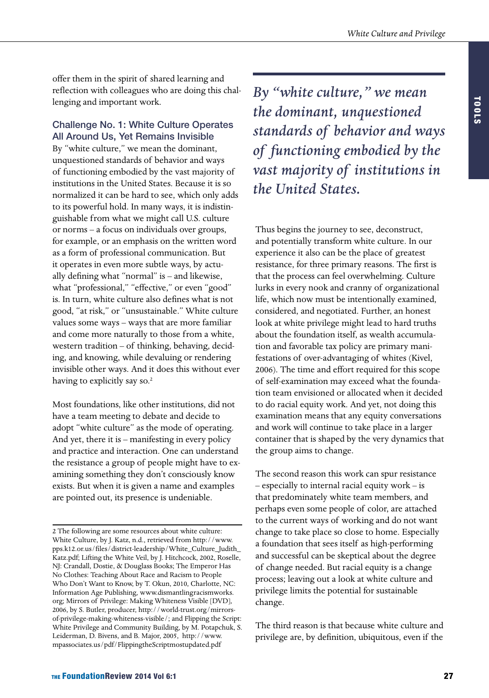offer them in the spirit of shared learning and reflection with colleagues who are doing this challenging and important work.

# Challenge No. 1: White Culture Operates All Around Us, Yet Remains Invisible

By "white culture," we mean the dominant, unquestioned standards of behavior and ways of functioning embodied by the vast majority of institutions in the United States. Because it is so normalized it can be hard to see, which only adds to its powerful hold. In many ways, it is indistinguishable from what we might call U.S. culture or norms – a focus on individuals over groups, for example, or an emphasis on the written word as a form of professional communication. But it operates in even more subtle ways, by actually defining what "normal" is – and likewise, what "professional," "effective," or even "good" is. In turn, white culture also defines what is not good, "at risk," or "unsustainable." White culture values some ways – ways that are more familiar and come more naturally to those from a white, western tradition – of thinking, behaving, deciding, and knowing, while devaluing or rendering invisible other ways. And it does this without ever having to explicitly say so.<sup>2</sup>

Most foundations, like other institutions, did not have a team meeting to debate and decide to adopt "white culture" as the mode of operating. And yet, there it is – manifesting in every policy and practice and interaction. One can understand the resistance a group of people might have to examining something they don't consciously know exists. But when it is given a name and examples are pointed out, its presence is undeniable.

*By "white culture," we mean the dominant, unquestioned standards of behavior and ways of functioning embodied by the vast majority of institutions in the United States.*

Thus begins the journey to see, deconstruct, and potentially transform white culture. In our experience it also can be the place of greatest resistance, for three primary reasons. The first is that the process can feel overwhelming. Culture lurks in every nook and cranny of organizational life, which now must be intentionally examined, considered, and negotiated. Further, an honest look at white privilege might lead to hard truths about the foundation itself, as wealth accumulation and favorable tax policy are primary manifestations of over-advantaging of whites (Kivel, 2006). The time and effort required for this scope of self-examination may exceed what the foundation team envisioned or allocated when it decided to do racial equity work. And yet, not doing this examination means that any equity conversations and work will continue to take place in a larger container that is shaped by the very dynamics that the group aims to change.

The second reason this work can spur resistance – especially to internal racial equity work – is that predominately white team members, and perhaps even some people of color, are attached to the current ways of working and do not want change to take place so close to home. Especially a foundation that sees itself as high-performing and successful can be skeptical about the degree of change needed. But racial equity is a change process; leaving out a look at white culture and privilege limits the potential for sustainable change.

The third reason is that because white culture and privilege are, by definition, ubiquitous, even if the

<sup>2</sup> The following are some resources about white culture: White Culture, by J. Katz, n.d., retrieved from [http://www.](http://www.pps.k12.or.us/files/district-leadership/White_Culture_Judith_Katz.pdf) [pps.k12.or.us/files/district-leadership/White\\_Culture\\_Judith\\_](http://www.pps.k12.or.us/files/district-leadership/White_Culture_Judith_Katz.pdf) [Katz.pdf](http://www.pps.k12.or.us/files/district-leadership/White_Culture_Judith_Katz.pdf); Lifting the White Veil, by J. Hitchcock, 2002, Roselle, NJ: Crandall, Dostie, & Douglass Books; The Emperor Has No Clothes: Teaching About Race and Racism to People Who Don't Want to Know, by T. Okun, 2010, Charlotte, NC: Information Age Publishing, [www.dismantlingracismworks.](www.dismantlingracismworks.org) [org](www.dismantlingracismworks.org); Mirrors of Privilege: Making Whiteness Visible [DVD], 2006, by S. Butler, producer, <http://world-trust.org/mirrors>of-privilege-making-whiteness-visible/; and Flipping the Script: White Privilege and Community Building, by M. Potapchuk, S. Leiderman, D. Bivens, and B. Major, 2005, [http://www.](http://www.mpassociates.us/pdf/FlippingtheScriptmostupdated.pdf) [mpassociates.us/pdf/FlippingtheScriptmostupdated.pdf](http://www.mpassociates.us/pdf/FlippingtheScriptmostupdated.pdf)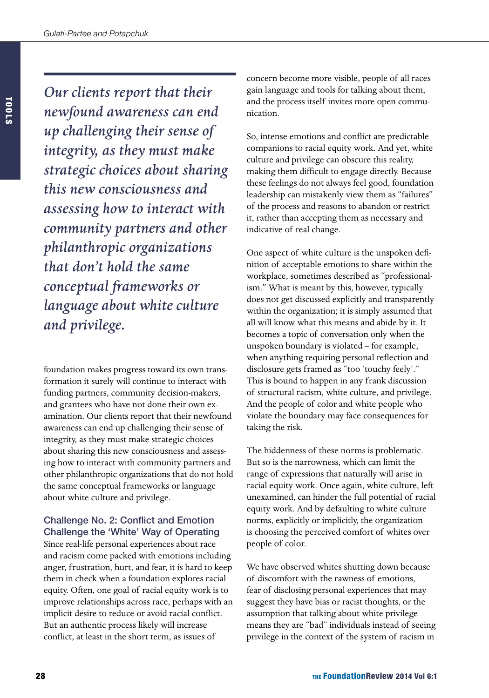*Our clients report that their newfound awareness can end up challenging their sense of integrity, as they must make strategic choices about sharing this new consciousness and assessing how to interact with community partners and other philanthropic organizations that don't hold the same conceptual frameworks or language about white culture and privilege.*

foundation makes progress toward its own transformation it surely will continue to interact with funding partners, community decision-makers, and grantees who have not done their own examination. Our clients report that their newfound awareness can end up challenging their sense of integrity, as they must make strategic choices about sharing this new consciousness and assessing how to interact with community partners and other philanthropic organizations that do not hold the same conceptual frameworks or language about white culture and privilege.

#### Challenge No. 2: Conflict and Emotion Challenge the 'White' Way of Operating

Since real-life personal experiences about race and racism come packed with emotions including anger, frustration, hurt, and fear, it is hard to keep them in check when a foundation explores racial equity. Often, one goal of racial equity work is to improve relationships across race, perhaps with an implicit desire to reduce or avoid racial conflict. But an authentic process likely will increase conflict, at least in the short term, as issues of

concern become more visible, people of all races gain language and tools for talking about them, and the process itself invites more open communication.

So, intense emotions and conflict are predictable companions to racial equity work. And yet, white culture and privilege can obscure this reality, making them difficult to engage directly. Because these feelings do not always feel good, foundation leadership can mistakenly view them as "failures" of the process and reasons to abandon or restrict it, rather than accepting them as necessary and indicative of real change.

One aspect of white culture is the unspoken definition of acceptable emotions to share within the workplace, sometimes described as "professionalism." What is meant by this, however, typically does not get discussed explicitly and transparently within the organization; it is simply assumed that all will know what this means and abide by it. It becomes a topic of conversation only when the unspoken boundary is violated – for example, when anything requiring personal reflection and disclosure gets framed as "too 'touchy feely'." This is bound to happen in any frank discussion of structural racism, white culture, and privilege. And the people of color and white people who violate the boundary may face consequences for taking the risk.

The hiddenness of these norms is problematic. But so is the narrowness, which can limit the range of expressions that naturally will arise in racial equity work. Once again, white culture, left unexamined, can hinder the full potential of racial equity work. And by defaulting to white culture norms, explicitly or implicitly, the organization is choosing the perceived comfort of whites over people of color.

We have observed whites shutting down because of discomfort with the rawness of emotions, fear of disclosing personal experiences that may suggest they have bias or racist thoughts, or the assumption that talking about white privilege means they are "bad" individuals instead of seeing privilege in the context of the system of racism in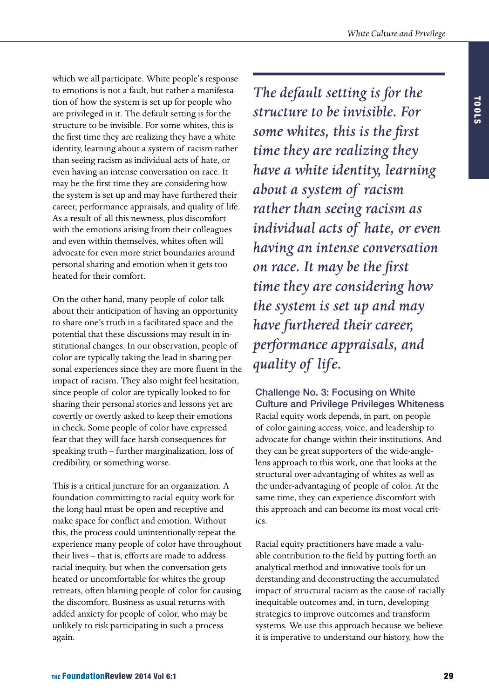which we all participate. White people's response to emotions is not a fault, but rather a manifestation of how the system is set up for people who are privileged in it. The default setting is for the structure to be invisible. For some whites, this is the first time they are realizing they have a white identity, learning about a system of racism rather than seeing racism as individual acts of hate, or even having an intense conversation on race. It may be the first time they are considering how the system is set up and may have furthered their career, performance appraisals, and quality of life. As a result of all this newness, plus discomfort with the emotions arising from their colleagues and even within themselves, whites often will advocate for even more strict boundaries around personal sharing and emotion when it gets too heated for their comfort.

On the other hand, many people of color talk about their anticipation of having an opportunity to share one's truth in a facilitated space and the potential that these discussions may result in institutional changes. In our observation, people of color are typically taking the lead in sharing personal experiences since they are more fluent in the impact of racism. They also might feel hesitation, since people of color are typically looked to for sharing their personal stories and lessons yet are covertly or overtly asked to keep their emotions in check. Some people of color have expressed fear that they will face harsh consequences for speaking truth – further marginalization, loss of credibility, or something worse.

This is a critical juncture for an organization. A foundation committing to racial equity work for the long haul must be open and receptive and make space for conflict and emotion. Without this, the process could unintentionally repeat the experience many people of color have throughout their lives – that is, efforts are made to address racial inequity, but when the conversation gets heated or uncomfortable for whites the group retreats, often blaming people of color for causing the discomfort. Business as usual returns with added anxiety for people of color, who may be unlikely to risk participating in such a process again.

*The default setting is for the structure to be invisible. For some whites, this is the first time they are realizing they have a white identity, learning about a system of racism rather than seeing racism as individual acts of hate, or even having an intense conversation on race. It may be the first time they are considering how the system is set up and may have furthered their career, performance appraisals, and quality of life.*

Challenge No. 3: Focusing on White Culture and Privilege Privileges Whiteness Racial equity work depends, in part, on people of color gaining access, voice, and leadership to advocate for change within their institutions. And they can be great supporters of the wide-anglelens approach to this work, one that looks at the structural over-advantaging of whites as well as the under-advantaging of people of color. At the same time, they can experience discomfort with this approach and can become its most vocal critics.

Racial equity practitioners have made a valuable contribution to the field by putting forth an analytical method and innovative tools for understanding and deconstructing the accumulated impact of structural racism as the cause of racially inequitable outcomes and, in turn, developing strategies to improve outcomes and transform systems. We use this approach because we believe it is imperative to understand our history, how the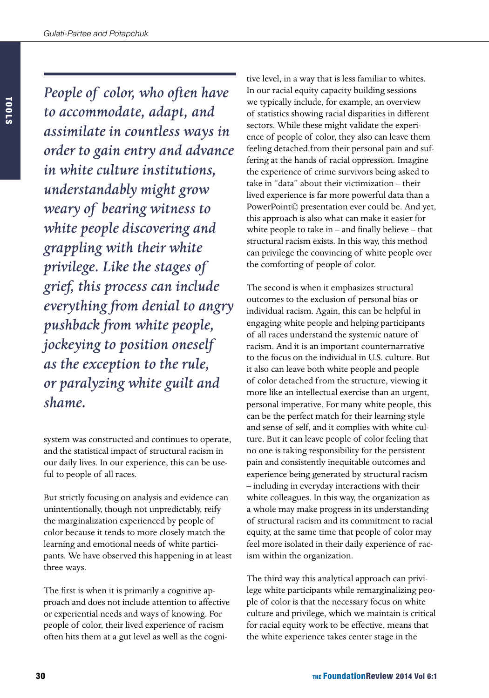*People of color, who often have to accommodate, adapt, and assimilate in countless ways in order to gain entry and advance in white culture institutions, understandably might grow weary of bearing witness to white people discovering and grappling with their white privilege. Like the stages of grief, this process can include everything from denial to angry pushback from white people, jockeying to position oneself as the exception to the rule, or paralyzing white guilt and shame.*

system was constructed and continues to operate, and the statistical impact of structural racism in our daily lives. In our experience, this can be useful to people of all races.

But strictly focusing on analysis and evidence can unintentionally, though not unpredictably, reify the marginalization experienced by people of color because it tends to more closely match the learning and emotional needs of white participants. We have observed this happening in at least three ways.

The first is when it is primarily a cognitive approach and does not include attention to affective or experiential needs and ways of knowing. For people of color, their lived experience of racism often hits them at a gut level as well as the cognitive level, in a way that is less familiar to whites. In our racial equity capacity building sessions we typically include, for example, an overview of statistics showing racial disparities in different sectors. While these might validate the experience of people of color, they also can leave them feeling detached from their personal pain and suffering at the hands of racial oppression. Imagine the experience of crime survivors being asked to take in "data" about their victimization – their lived experience is far more powerful data than a PowerPoint© presentation ever could be. And yet, this approach is also what can make it easier for white people to take in – and finally believe – that structural racism exists. In this way, this method can privilege the convincing of white people over the comforting of people of color.

The second is when it emphasizes structural outcomes to the exclusion of personal bias or individual racism. Again, this can be helpful in engaging white people and helping participants of all races understand the systemic nature of racism. And it is an important counternarrative to the focus on the individual in U.S. culture. But it also can leave both white people and people of color detached from the structure, viewing it more like an intellectual exercise than an urgent, personal imperative. For many white people, this can be the perfect match for their learning style and sense of self, and it complies with white culture. But it can leave people of color feeling that no one is taking responsibility for the persistent pain and consistently inequitable outcomes and experience being generated by structural racism – including in everyday interactions with their white colleagues. In this way, the organization as a whole may make progress in its understanding of structural racism and its commitment to racial equity, at the same time that people of color may feel more isolated in their daily experience of racism within the organization.

The third way this analytical approach can privilege white participants while remarginalizing people of color is that the necessary focus on white culture and privilege, which we maintain is critical for racial equity work to be effective, means that the white experience takes center stage in the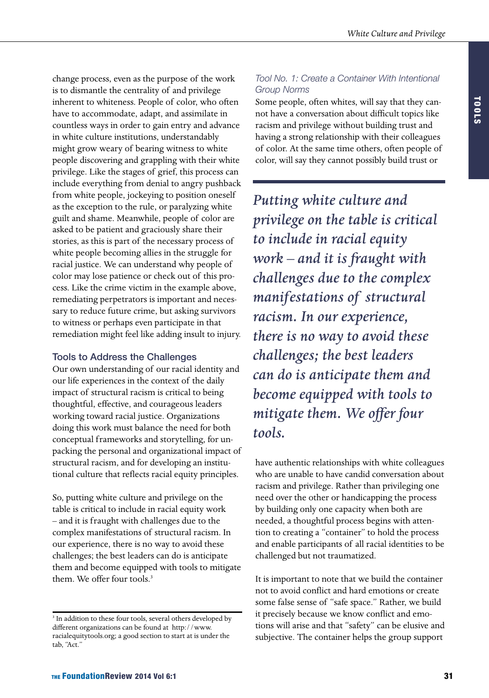change process, even as the purpose of the work is to dismantle the centrality of and privilege inherent to whiteness. People of color, who often have to accommodate, adapt, and assimilate in countless ways in order to gain entry and advance in white culture institutions, understandably might grow weary of bearing witness to white people discovering and grappling with their white privilege. Like the stages of grief, this process can include everything from denial to angry pushback from white people, jockeying to position oneself as the exception to the rule, or paralyzing white guilt and shame. Meanwhile, people of color are asked to be patient and graciously share their stories, as this is part of the necessary process of white people becoming allies in the struggle for racial justice. We can understand why people of color may lose patience or check out of this process. Like the crime victim in the example above, remediating perpetrators is important and necessary to reduce future crime, but asking survivors to witness or perhaps even participate in that remediation might feel like adding insult to injury.

### Tools to Address the Challenges

Our own understanding of our racial identity and our life experiences in the context of the daily impact of structural racism is critical to being thoughtful, effective, and courageous leaders working toward racial justice. Organizations doing this work must balance the need for both conceptual frameworks and storytelling, for unpacking the personal and organizational impact of structural racism, and for developing an institutional culture that reflects racial equity principles.

So, putting white culture and privilege on the table is critical to include in racial equity work – and it is fraught with challenges due to the complex manifestations of structural racism. In our experience, there is no way to avoid these challenges; the best leaders can do is anticipate them and become equipped with tools to mitigate them. We offer four tools.<sup>3</sup>

## *Tool No. 1: Create a Container With Intentional Group Norms*

Some people, often whites, will say that they cannot have a conversation about difficult topics like racism and privilege without building trust and having a strong relationship with their colleagues of color. At the same time others, often people of color, will say they cannot possibly build trust or

*Putting white culture and privilege on the table is critical to include in racial equity work – and it is fraught with challenges due to the complex manifestations of structural racism. In our experience, there is no way to avoid these challenges; the best leaders can do is anticipate them and become equipped with tools to mitigate them. We offer four tools.*

have authentic relationships with white colleagues who are unable to have candid conversation about racism and privilege. Rather than privileging one need over the other or handicapping the process by building only one capacity when both are needed, a thoughtful process begins with attention to creating a "container" to hold the process and enable participants of all racial identities to be challenged but not traumatized.

It is important to note that we build the container not to avoid conflict and hard emotions or create some false sense of "safe space." Rather, we build it precisely because we know conflict and emotions will arise and that "safety" can be elusive and subjective. The container helps the group support

<sup>&</sup>lt;sup>3</sup> In addition to these four tools, several others developed by different organizations can be found at [http://www.](http://www.racialequitytools.org) [racialequitytools.org](http://www.racialequitytools.org); a good section to start at is under the tab, "Act."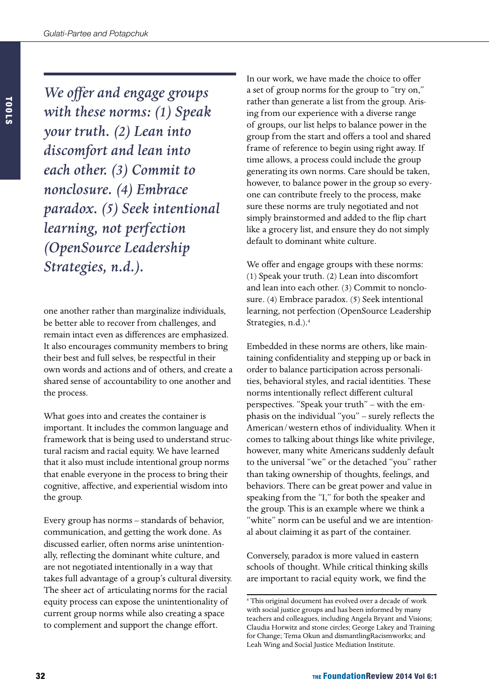*We offer and engage groups with these norms: (1) Speak your truth. (2) Lean into discomfort and lean into each other. (3) Commit to nonclosure. (4) Embrace paradox. (5) Seek intentional learning, not perfection (OpenSource Leadership Strategies, n.d.).*

one another rather than marginalize individuals, be better able to recover from challenges, and remain intact even as differences are emphasized. It also encourages community members to bring their best and full selves, be respectful in their own words and actions and of others, and create a shared sense of accountability to one another and the process.

What goes into and creates the container is important. It includes the common language and framework that is being used to understand structural racism and racial equity. We have learned that it also must include intentional group norms that enable everyone in the process to bring their cognitive, affective, and experiential wisdom into the group.

Every group has norms – standards of behavior, communication, and getting the work done. As discussed earlier, often norms arise unintentionally, reflecting the dominant white culture, and are not negotiated intentionally in a way that takes full advantage of a group's cultural diversity. The sheer act of articulating norms for the racial equity process can expose the unintentionality of current group norms while also creating a space to complement and support the change effort.

In our work, we have made the choice to offer a set of group norms for the group to "try on," rather than generate a list from the group. Arising from our experience with a diverse range of groups, our list helps to balance power in the group from the start and offers a tool and shared frame of reference to begin using right away. If time allows, a process could include the group generating its own norms. Care should be taken, however, to balance power in the group so everyone can contribute freely to the process, make sure these norms are truly negotiated and not simply brainstormed and added to the flip chart like a grocery list, and ensure they do not simply default to dominant white culture.

We offer and engage groups with these norms: (1) Speak your truth. (2) Lean into discomfort and lean into each other. (3) Commit to nonclosure. (4) Embrace paradox. (5) Seek intentional learning, not perfection (OpenSource Leadership Strategies, n.d.).<sup>4</sup>

Embedded in these norms are others, like maintaining confidentiality and stepping up or back in order to balance participation across personalities, behavioral styles, and racial identities. These norms intentionally reflect different cultural perspectives. "Speak your truth" – with the emphasis on the individual "you" – surely reflects the American/western ethos of individuality. When it comes to talking about things like white privilege, however, many white Americans suddenly default to the universal "we" or the detached "you" rather than taking ownership of thoughts, feelings, and behaviors. There can be great power and value in speaking from the "I," for both the speaker and the group. This is an example where we think a "white" norm can be useful and we are intentional about claiming it as part of the container.

Conversely, paradox is more valued in eastern schools of thought. While critical thinking skills are important to racial equity work, we find the

<sup>4</sup> This original document has evolved over a decade of work with social justice groups and has been informed by many teachers and colleagues, including Angela Bryant and Visions; Claudia Horwitz and stone circles; George Lakey and Training for Change; Tema Okun and dismantlingRacismworks; and Leah Wing and Social Justice Mediation Institute.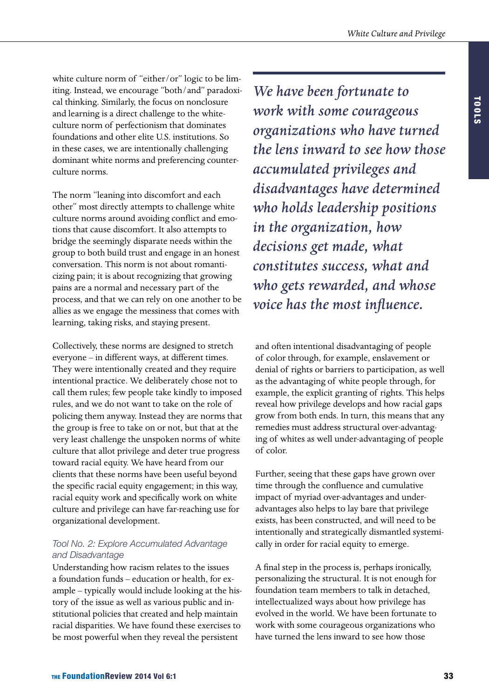white culture norm of "either/or" logic to be limiting. Instead, we encourage "both/and" paradoxical thinking. Similarly, the focus on nonclosure and learning is a direct challenge to the whiteculture norm of perfectionism that dominates foundations and other elite U.S. institutions. So in these cases, we are intentionally challenging dominant white norms and preferencing counterculture norms.

The norm "leaning into discomfort and each other" most directly attempts to challenge white culture norms around avoiding conflict and emotions that cause discomfort. It also attempts to bridge the seemingly disparate needs within the group to both build trust and engage in an honest conversation. This norm is not about romanticizing pain; it is about recognizing that growing pains are a normal and necessary part of the process, and that we can rely on one another to be allies as we engage the messiness that comes with learning, taking risks, and staying present.

Collectively, these norms are designed to stretch everyone – in different ways, at different times. They were intentionally created and they require intentional practice. We deliberately chose not to call them rules; few people take kindly to imposed rules, and we do not want to take on the role of policing them anyway. Instead they are norms that the group is free to take on or not, but that at the very least challenge the unspoken norms of white culture that allot privilege and deter true progress toward racial equity. We have heard from our clients that these norms have been useful beyond the specific racial equity engagement; in this way, racial equity work and specifically work on white culture and privilege can have far-reaching use for organizational development.

### *Tool No. 2: Explore Accumulated Advantage and Disadvantage*

Understanding how racism relates to the issues a foundation funds – education or health, for example – typically would include looking at the history of the issue as well as various public and institutional policies that created and help maintain racial disparities. We have found these exercises to be most powerful when they reveal the persistent

*We have been fortunate to work with some courageous organizations who have turned the lens inward to see how those accumulated privileges and disadvantages have determined who holds leadership positions in the organization, how decisions get made, what constitutes success, what and who gets rewarded, and whose voice has the most influence.*

and often intentional disadvantaging of people of color through, for example, enslavement or denial of rights or barriers to participation, as well as the advantaging of white people through, for example, the explicit granting of rights. This helps reveal how privilege develops and how racial gaps grow from both ends. In turn, this means that any remedies must address structural over-advantaging of whites as well under-advantaging of people of color.

Further, seeing that these gaps have grown over time through the confluence and cumulative impact of myriad over-advantages and underadvantages also helps to lay bare that privilege exists, has been constructed, and will need to be intentionally and strategically dismantled systemically in order for racial equity to emerge.

A final step in the process is, perhaps ironically, personalizing the structural. It is not enough for foundation team members to talk in detached, intellectualized ways about how privilege has evolved in the world. We have been fortunate to work with some courageous organizations who have turned the lens inward to see how those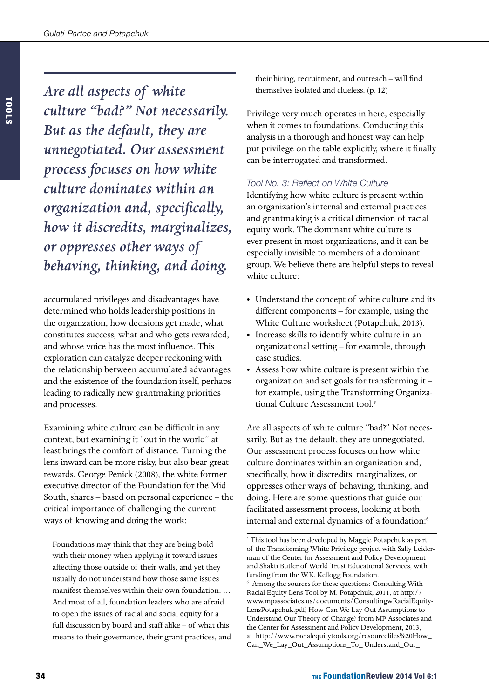*Are all aspects of white culture "bad?" Not necessarily. But as the default, they are unnegotiated. Our assessment process focuses on how white culture dominates within an organization and, specifically, how it discredits, marginalizes, or oppresses other ways of behaving, thinking, and doing.*

accumulated privileges and disadvantages have determined who holds leadership positions in the organization, how decisions get made, what constitutes success, what and who gets rewarded, and whose voice has the most influence. This exploration can catalyze deeper reckoning with the relationship between accumulated advantages and the existence of the foundation itself, perhaps leading to radically new grantmaking priorities and processes.

Examining white culture can be difficult in any context, but examining it "out in the world" at least brings the comfort of distance. Turning the lens inward can be more risky, but also bear great rewards. George Penick (2008), the white former executive director of the Foundation for the Mid South, shares – based on personal experience – the critical importance of challenging the current ways of knowing and doing the work:

Foundations may think that they are being bold with their money when applying it toward issues affecting those outside of their walls, and yet they usually do not understand how those same issues manifest themselves within their own foundation. … And most of all, foundation leaders who are afraid to open the issues of racial and social equity for a full discussion by board and staff alike – of what this means to their governance, their grant practices, and their hiring, recruitment, and outreach – will find themselves isolated and clueless. (p. 12)

Privilege very much operates in here, especially when it comes to foundations. Conducting this analysis in a thorough and honest way can help put privilege on the table explicitly, where it finally can be interrogated and transformed.

#### *Tool No. 3: Reflect on White Culture*

Identifying how white culture is present within an organization's internal and external practices and grantmaking is a critical dimension of racial equity work. The dominant white culture is ever-present in most organizations, and it can be especially invisible to members of a dominant group. We believe there are helpful steps to reveal white culture:

- • Understand the concept of white culture and its different components – for example, using the White Culture worksheet (Potapchuk, 2013).
- • Increase skills to identify white culture in an organizational setting – for example, through case studies.
- • Assess how white culture is present within the organization and set goals for transforming it – for example, using the Transforming Organizational Culture Assessment tool.<sup>5</sup>

Are all aspects of white culture "bad?" Not necessarily. But as the default, they are unnegotiated. Our assessment process focuses on how white culture dominates within an organization and, specifically, how it discredits, marginalizes, or oppresses other ways of behaving, thinking, and doing. Here are some questions that guide our facilitated assessment process, looking at both internal and external dynamics of a foundation:<sup>6</sup>

<sup>&</sup>lt;sup>5</sup> This tool has been developed by Maggie Potapchuk as part of the Transforming White Privilege project with Sally Leiderman of the Center for Assessment and Policy Development and Shakti Butler of World Trust Educational Services, with funding from the W.K. Kellogg Foundation. 6 Among the sources for these questions: Consulting With Racial Equity Lens Tool by M. Potapchuk, 2011, at [http://](http://www.mpassociates.us/documents/ConsultingwRacialEquityLensPotapchuk.pdf) [www.mpassociates.us/documents/ConsultingwRacialEquity-](http://www.mpassociates.us/documents/ConsultingwRacialEquityLensPotapchuk.pdf)[LensPotapchuk.pdf](http://www.mpassociates.us/documents/ConsultingwRacialEquityLensPotapchuk.pdf); How Can We Lay Out Assumptions to Understand Our Theory of Change? from MP Associates and the Center for Assessment and Policy Development, 2013, at [http://www.racialequitytools.org/resourcefiles%](http://www.racialequitytools.org/resourcefiles)20How\_ Can\_We\_Lay\_Out\_Assumptions\_To\_ [Understand\\_Our\\_](Understand_Our_Theory_Of_Change.pdf)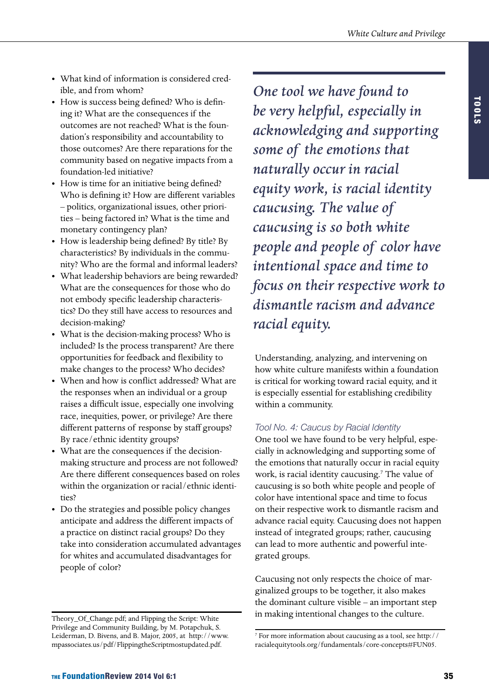- What kind of information is considered credible, and from whom?
- How is success being defined? Who is defining it? What are the consequences if the outcomes are not reached? What is the foundation's responsibility and accountability to those outcomes? Are there reparations for the community based on negative impacts from a foundation-led initiative?
- How is time for an initiative being defined? Who is defining it? How are different variables – politics, organizational issues, other priorities – being factored in? What is the time and monetary contingency plan?
- How is leadership being defined? By title? By characteristics? By individuals in the community? Who are the formal and informal leaders?
- What leadership behaviors are being rewarded? What are the consequences for those who do not embody specific leadership characteristics? Do they still have access to resources and decision-making?
- What is the decision-making process? Who is included? Is the process transparent? Are there opportunities for feedback and flexibility to make changes to the process? Who decides?
- • When and how is conflict addressed? What are the responses when an individual or a group raises a difficult issue, especially one involving race, inequities, power, or privilege? Are there different patterns of response by staff groups? By race/ethnic identity groups?
- What are the consequences if the decisionmaking structure and process are not followed? Are there different consequences based on roles within the organization or racial/ethnic identities?
- • Do the strategies and possible policy changes anticipate and address the different impacts of a practice on distinct racial groups? Do they take into consideration accumulated advantages for whites and accumulated disadvantages for people of color?

*One tool we have found to be very helpful, especially in acknowledging and supporting some of the emotions that naturally occur in racial equity work, is racial identity caucusing. The value of caucusing is so both white people and people of color have intentional space and time to focus on their respective work to dismantle racism and advance racial equity.* 

Understanding, analyzing, and intervening on how white culture manifests within a foundation is critical for working toward racial equity, and it is especially essential for establishing credibility within a community.

# *Tool No. 4: Caucus by Racial Identity*

One tool we have found to be very helpful, especially in acknowledging and supporting some of the emotions that naturally occur in racial equity work, is racial identity caucusing.<sup>7</sup> The value of caucusing is so both white people and people of color have intentional space and time to focus on their respective work to dismantle racism and advance racial equity. Caucusing does not happen instead of integrated groups; rather, caucusing can lead to more authentic and powerful integrated groups.

Caucusing not only respects the choice of marginalized groups to be together, it also makes the dominant culture visible – an important step in making intentional changes to the culture.

[Theory\\_Of\\_Change.pdf](Understand_Our_Theory_Of_Change.pdf); and Flipping the Script: White Privilege and Community Building, by M. Potapchuk, S. Leiderman, D. Bivens, and B. Major, 2005, at [http://www.](http://www.mpassociates.us/pdf) [mpassociates.us/pdf/](http://www.mpassociates.us/pdf)[FlippingtheScriptmostupdated.pdf.](FlippingtheScriptmostupdated.pdf)

<sup>7</sup> For more information about caucusing as a tool, see [http://](http://racialequitytools.org/fundamentals/core-concepts#FUN05) [racialequitytools.org/fundamentals/core-](http://racialequitytools.org/fundamentals/core-concepts#FUN05)concepts#FUN05.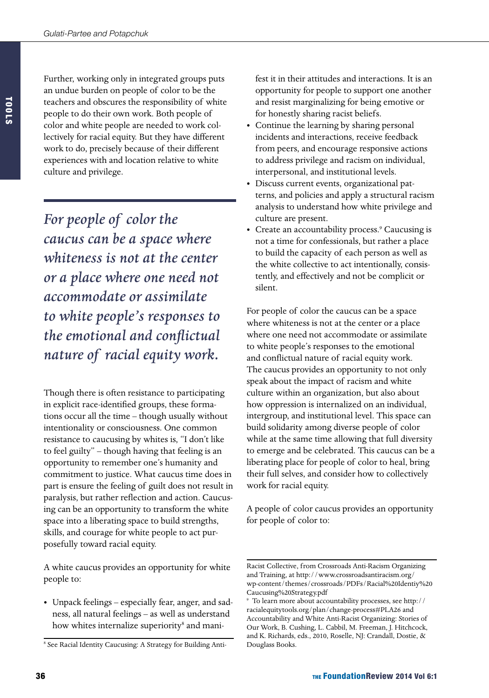Further, working only in integrated groups puts an undue burden on people of color to be the teachers and obscures the responsibility of white people to do their own work. Both people of color and white people are needed to work collectively for racial equity. But they have different work to do, precisely because of their different experiences with and location relative to white culture and privilege.

*For people of color the caucus can be a space where whiteness is not at the center or a place where one need not accommodate or assimilate to white people's responses to the emotional and conflictual nature of racial equity work.* 

Though there is often resistance to participating in explicit race-identified groups, these formations occur all the time – though usually without intentionality or consciousness. One common resistance to caucusing by whites is, "I don't like to feel guilty" – though having that feeling is an opportunity to remember one's humanity and commitment to justice. What caucus time does in part is ensure the feeling of guilt does not result in paralysis, but rather reflection and action. Caucusing can be an opportunity to transform the white space into a liberating space to build strengths, skills, and courage for white people to act purposefully toward racial equity.

A white caucus provides an opportunity for white people to:

- • Unpack feelings especially fear, anger, and sadness, all natural feelings – as well as understand how whites internalize superiority<sup>8</sup> and mani-
- <sup>8</sup> See Racial Identity Caucusing: A Strategy for Building Anti-

fest it in their attitudes and interactions. It is an opportunity for people to support one another and resist marginalizing for being emotive or for honestly sharing racist beliefs.

- Continue the learning by sharing personal incidents and interactions, receive feedback from peers, and encourage responsive actions to address privilege and racism on individual, interpersonal, and institutional levels.
- Discuss current events, organizational patterns, and policies and apply a structural racism analysis to understand how white privilege and culture are present.
- Create an accountability process.<sup>9</sup> Caucusing is not a time for confessionals, but rather a place to build the capacity of each person as well as the white collective to act intentionally, consistently, and effectively and not be complicit or silent.

For people of color the caucus can be a space where whiteness is not at the center or a place where one need not accommodate or assimilate to white people's responses to the emotional and conflictual nature of racial equity work. The caucus provides an opportunity to not only speak about the impact of racism and white culture within an organization, but also about how oppression is internalized on an individual, intergroup, and institutional level. This space can build solidarity among diverse people of color while at the same time allowing that full diversity to emerge and be celebrated. This caucus can be a liberating place for people of color to heal, bring their full selves, and consider how to collectively work for racial equity.

A people of color caucus provides an opportunity for people of color to:

Racist Collective, from Crossroads Anti-Racism Organizing and Training, at [http://www.crossroadsantiracism.org/](http://www.crossroadsantiracism.org/wp-content/themes/crossroads/PDFs/Racial%20Identiy%20Caucusing%20Strategy.pdf) [wp-content/themes/crossroads/PDFs/Racial%20Identiy%20](http://www.crossroadsantiracism.org/wp-content/themes/crossroads/PDFs/Racial%20Identiy%20Caucusing%20Strategy.pdf) [Caucusing%20Strategy.pdf](http://www.crossroadsantiracism.org/wp-content/themes/crossroads/PDFs/Racial%20Identiy%20Caucusing%20Strategy.pdf)

<sup>9</sup> To learn more about accountability processes, see [http://](http://racialequitytools.org/plan/change-process#PLA26) [racialequitytools.org/plan/change-](http://racialequitytools.org/plan/change-process#PLA26)process#PLA26 and Accountability and White Anti-Racist Organizing: Stories of Our Work, B. Cushing, L. Cabbil, M. Freeman, J. Hitchcock, and K. Richards, eds., 2010, Roselle, NJ: Crandall, Dostie, & Douglass Books.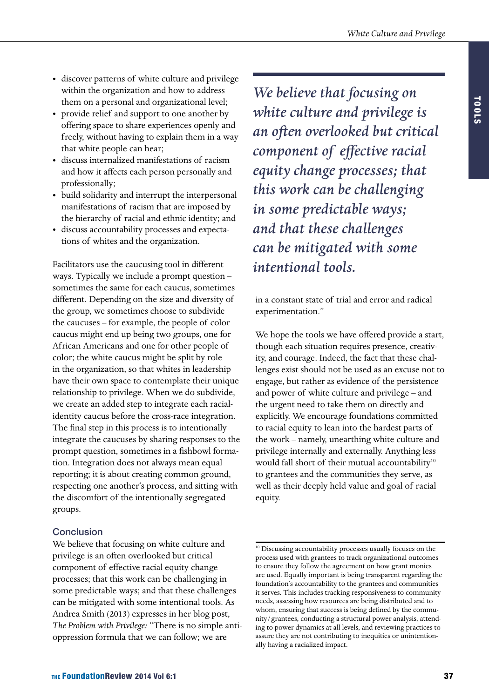- • discover patterns of white culture and privilege within the organization and how to address them on a personal and organizational level;
- • provide relief and support to one another by offering space to share experiences openly and freely, without having to explain them in a way that white people can hear;
- • discuss internalized manifestations of racism and how it affects each person personally and professionally;
- • build solidarity and interrupt the interpersonal manifestations of racism that are imposed by the hierarchy of racial and ethnic identity; and
- • discuss accountability processes and expectations of whites and the organization.

Facilitators use the caucusing tool in different ways. Typically we include a prompt question – sometimes the same for each caucus, sometimes different. Depending on the size and diversity of the group, we sometimes choose to subdivide the caucuses – for example, the people of color caucus might end up being two groups, one for African Americans and one for other people of color; the white caucus might be split by role in the organization, so that whites in leadership have their own space to contemplate their unique relationship to privilege. When we do subdivide, we create an added step to integrate each racialidentity caucus before the cross-race integration. The final step in this process is to intentionally integrate the caucuses by sharing responses to the prompt question, sometimes in a fishbowl formation. Integration does not always mean equal reporting; it is about creating common ground, respecting one another's process, and sitting with the discomfort of the intentionally segregated groups.

### **Conclusion**

We believe that focusing on white culture and privilege is an often overlooked but critical component of effective racial equity change processes; that this work can be challenging in some predictable ways; and that these challenges can be mitigated with some intentional tools. As Andrea Smith (2013) expresses in her blog post, *The Problem with Privilege:* "There is no simple antioppression formula that we can follow; we are

*We believe that focusing on white culture and privilege is an often overlooked but critical component of effective racial equity change processes; that this work can be challenging in some predictable ways; and that these challenges can be mitigated with some intentional tools.*

in a constant state of trial and error and radical experimentation."

We hope the tools we have offered provide a start, though each situation requires presence, creativity, and courage. Indeed, the fact that these challenges exist should not be used as an excuse not to engage, but rather as evidence of the persistence and power of white culture and privilege – and the urgent need to take them on directly and explicitly. We encourage foundations committed to racial equity to lean into the hardest parts of the work – namely, unearthing white culture and privilege internally and externally. Anything less would fall short of their mutual accountability<sup>10</sup> to grantees and the communities they serve, as well as their deeply held value and goal of racial equity.

<sup>&</sup>lt;sup>10</sup> Discussing accountability processes usually focuses on the process used with grantees to track organizational outcomes to ensure they follow the agreement on how grant monies are used. Equally important is being transparent regarding the foundation's accountability to the grantees and communities it serves. This includes tracking responsiveness to community needs, assessing how resources are being distributed and to whom, ensuring that success is being defined by the community/grantees, conducting a structural power analysis, attending to power dynamics at all levels, and reviewing practices to assure they are not contributing to inequities or unintentionally having a racialized impact.